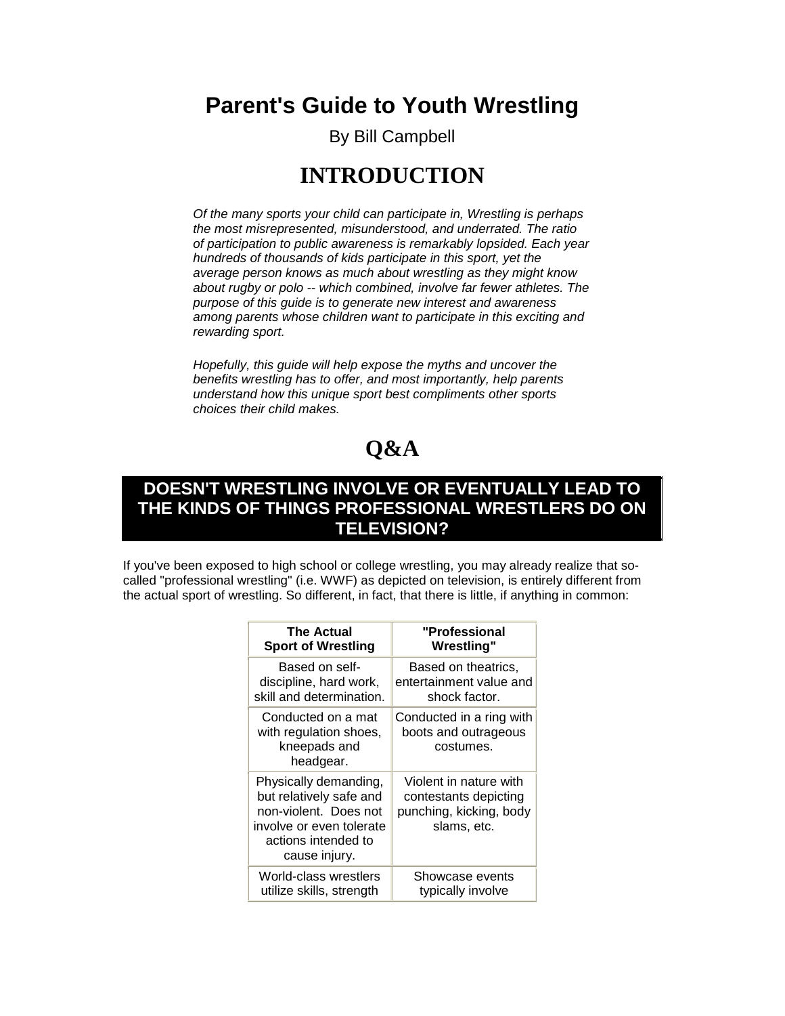**Parent's Guide to Youth Wrestling**

By Bill Campbell

### **INTRODUCTION**

*Of the many sports your child can participate in, Wrestling is perhaps the most misrepresented, misunderstood, and underrated. The ratio of participation to public awareness is remarkably lopsided. Each year hundreds of thousands of kids participate in this sport, yet the average person knows as much about wrestling as they might know about rugby or polo -- which combined, involve far fewer athletes. The purpose of this guide is to generate new interest and awareness among parents whose children want to participate in this exciting and rewarding sport.*

*Hopefully, this guide will help expose the myths and uncover the benefits wrestling has to offer, and most importantly, help parents understand how this unique sport best compliments other sports choices their child makes.*

# **Q&A**

### **DOESN'T WRESTLING INVOLVE OR EVENTUALLY LEAD TO THE KINDS OF THINGS PROFESSIONAL WRESTLERS DO ON TELEVISION?**

If you've been exposed to high school or college wrestling, you may already realize that socalled "professional wrestling" (i.e. WWF) as depicted on television, is entirely different from the actual sport of wrestling. So different, in fact, that there is little, if anything in common:

| The Actual                                                                                                                                    | "Professional                                                                             |
|-----------------------------------------------------------------------------------------------------------------------------------------------|-------------------------------------------------------------------------------------------|
| <b>Sport of Wrestling</b>                                                                                                                     | <b>Wrestling"</b>                                                                         |
| Based on self-                                                                                                                                | Based on theatrics,                                                                       |
| discipline, hard work,                                                                                                                        | entertainment value and                                                                   |
| skill and determination.                                                                                                                      | shock factor.                                                                             |
| Conducted on a mat<br>with regulation shoes,<br>kneepads and<br>headgear.                                                                     | Conducted in a ring with<br>boots and outrageous<br>costumes.                             |
| Physically demanding,<br>but relatively safe and<br>non-violent. Does not<br>involve or even tolerate<br>actions intended to<br>cause injury. | Violent in nature with<br>contestants depicting<br>punching, kicking, body<br>slams, etc. |
| World-class wrestlers                                                                                                                         | Showcase events                                                                           |
| utilize skills, strength                                                                                                                      | typically involve                                                                         |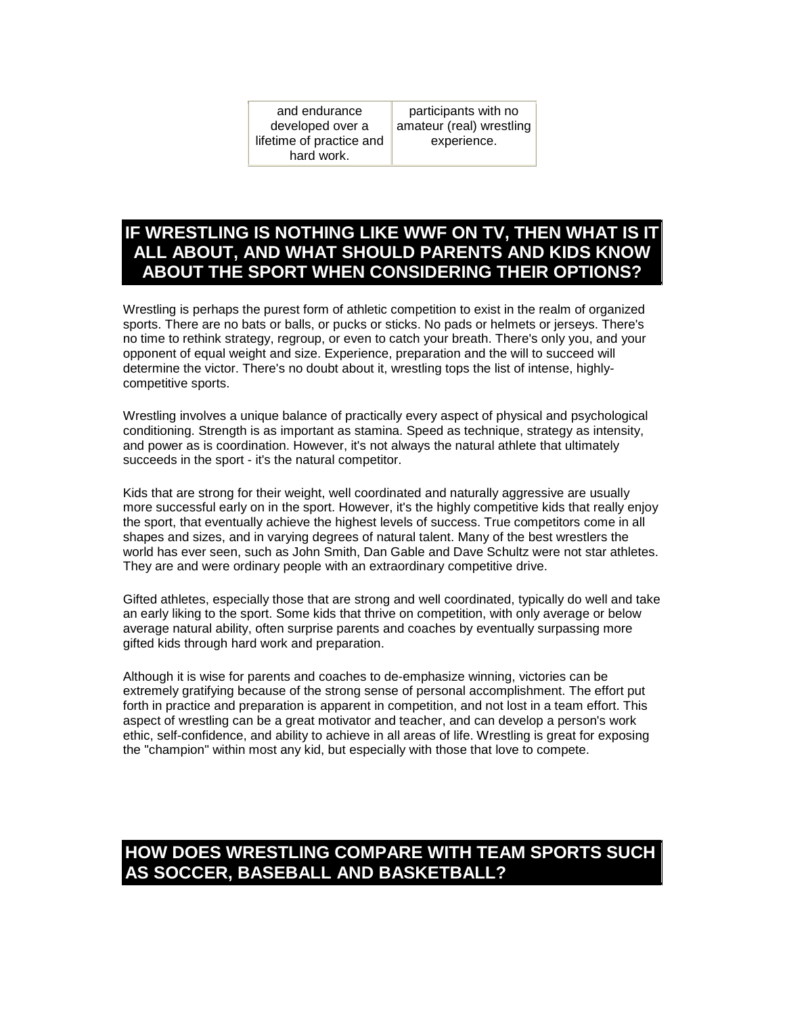| and endurance            | participants with no     |
|--------------------------|--------------------------|
| developed over a         | amateur (real) wrestling |
| lifetime of practice and | experience.              |
| hard work.               |                          |

### **IF WRESTLING IS NOTHING LIKE WWF ON TV, THEN WHAT IS IT ALL ABOUT, AND WHAT SHOULD PARENTS AND KIDS KNOW ABOUT THE SPORT WHEN CONSIDERING THEIR OPTIONS?**

Wrestling is perhaps the purest form of athletic competition to exist in the realm of organized sports. There are no bats or balls, or pucks or sticks. No pads or helmets or jerseys. There's no time to rethink strategy, regroup, or even to catch your breath. There's only you, and your opponent of equal weight and size. Experience, preparation and the will to succeed will determine the victor. There's no doubt about it, wrestling tops the list of intense, highlycompetitive sports.

Wrestling involves a unique balance of practically every aspect of physical and psychological conditioning. Strength is as important as stamina. Speed as technique, strategy as intensity, and power as is coordination. However, it's not always the natural athlete that ultimately succeeds in the sport - it's the natural competitor.

Kids that are strong for their weight, well coordinated and naturally aggressive are usually more successful early on in the sport. However, it's the highly competitive kids that really enjoy the sport, that eventually achieve the highest levels of success. True competitors come in all shapes and sizes, and in varying degrees of natural talent. Many of the best wrestlers the world has ever seen, such as John Smith, Dan Gable and Dave Schultz were not star athletes. They are and were ordinary people with an extraordinary competitive drive.

Gifted athletes, especially those that are strong and well coordinated, typically do well and take an early liking to the sport. Some kids that thrive on competition, with only average or below average natural ability, often surprise parents and coaches by eventually surpassing more gifted kids through hard work and preparation.

Although it is wise for parents and coaches to de-emphasize winning, victories can be extremely gratifying because of the strong sense of personal accomplishment. The effort put forth in practice and preparation is apparent in competition, and not lost in a team effort. This aspect of wrestling can be a great motivator and teacher, and can develop a person's work ethic, self-confidence, and ability to achieve in all areas of life. Wrestling is great for exposing the "champion" within most any kid, but especially with those that love to compete.

### **HOW DOES WRESTLING COMPARE WITH TEAM SPORTS SUCH AS SOCCER, BASEBALL AND BASKETBALL?**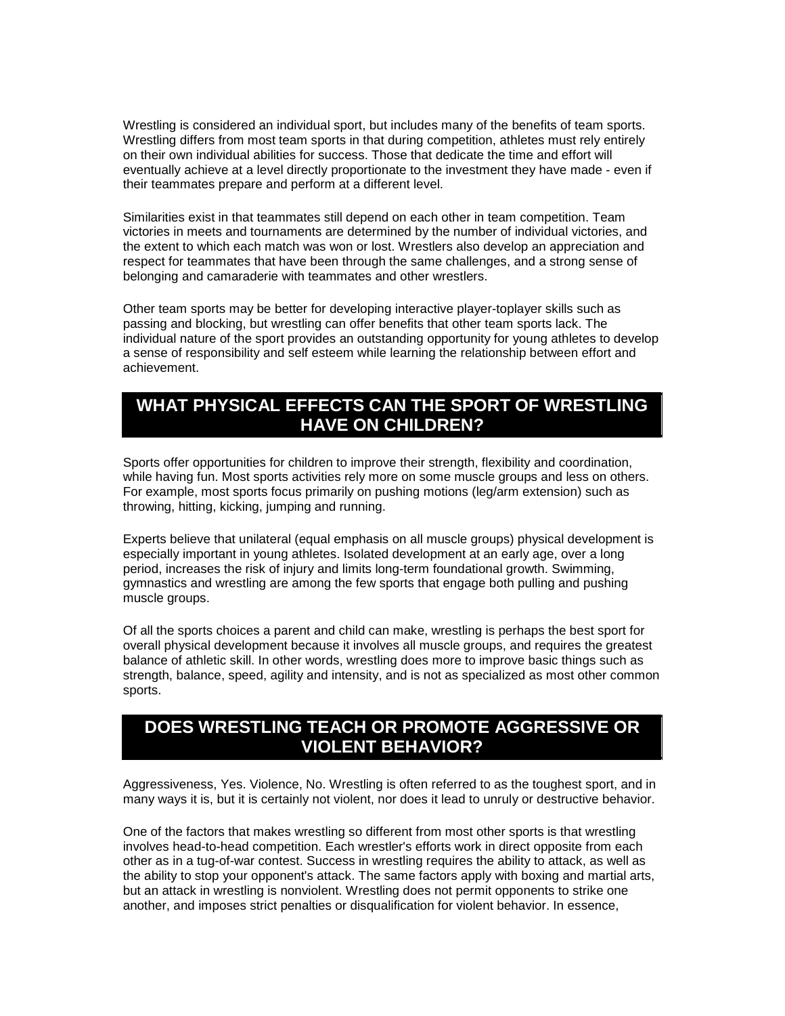Wrestling is considered an individual sport, but includes many of the benefits of team sports. Wrestling differs from most team sports in that during competition, athletes must rely entirely on their own individual abilities for success. Those that dedicate the time and effort will eventually achieve at a level directly proportionate to the investment they have made - even if their teammates prepare and perform at a different level.

Similarities exist in that teammates still depend on each other in team competition. Team victories in meets and tournaments are determined by the number of individual victories, and the extent to which each match was won or lost. Wrestlers also develop an appreciation and respect for teammates that have been through the same challenges, and a strong sense of belonging and camaraderie with teammates and other wrestlers.

Other team sports may be better for developing interactive player-toplayer skills such as passing and blocking, but wrestling can offer benefits that other team sports lack. The individual nature of the sport provides an outstanding opportunity for young athletes to develop a sense of responsibility and self esteem while learning the relationship between effort and achievement.

### **WHAT PHYSICAL EFFECTS CAN THE SPORT OF WRESTLING HAVE ON CHILDREN?**

Sports offer opportunities for children to improve their strength, flexibility and coordination, while having fun. Most sports activities rely more on some muscle groups and less on others. For example, most sports focus primarily on pushing motions (leg/arm extension) such as throwing, hitting, kicking, jumping and running.

Experts believe that unilateral (equal emphasis on all muscle groups) physical development is especially important in young athletes. Isolated development at an early age, over a long period, increases the risk of injury and limits long-term foundational growth. Swimming, gymnastics and wrestling are among the few sports that engage both pulling and pushing muscle groups.

Of all the sports choices a parent and child can make, wrestling is perhaps the best sport for overall physical development because it involves all muscle groups, and requires the greatest balance of athletic skill. In other words, wrestling does more to improve basic things such as strength, balance, speed, agility and intensity, and is not as specialized as most other common sports.

### **DOES WRESTLING TEACH OR PROMOTE AGGRESSIVE OR VIOLENT BEHAVIOR?**

Aggressiveness, Yes. Violence, No. Wrestling is often referred to as the toughest sport, and in many ways it is, but it is certainly not violent, nor does it lead to unruly or destructive behavior.

One of the factors that makes wrestling so different from most other sports is that wrestling involves head-to-head competition. Each wrestler's efforts work in direct opposite from each other as in a tug-of-war contest. Success in wrestling requires the ability to attack, as well as the ability to stop your opponent's attack. The same factors apply with boxing and martial arts, but an attack in wrestling is nonviolent. Wrestling does not permit opponents to strike one another, and imposes strict penalties or disqualification for violent behavior. In essence,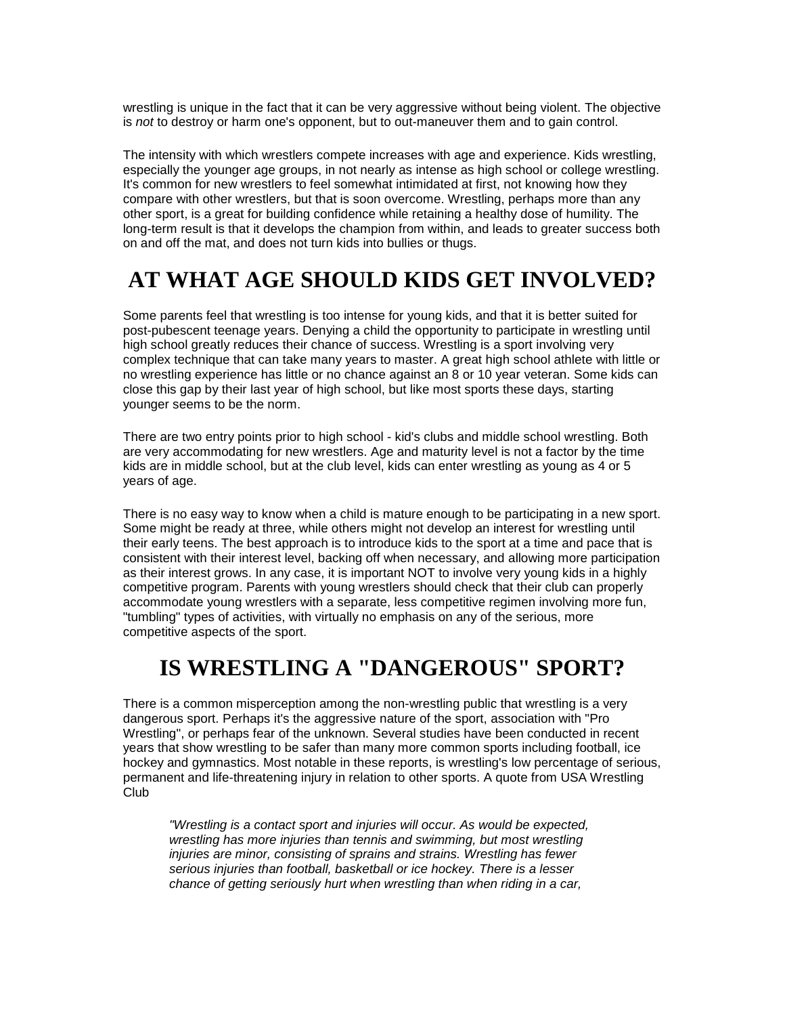wrestling is unique in the fact that it can be very aggressive without being violent. The objective is *not* to destroy or harm one's opponent, but to out-maneuver them and to gain control.

The intensity with which wrestlers compete increases with age and experience. Kids wrestling, especially the younger age groups, in not nearly as intense as high school or college wrestling. It's common for new wrestlers to feel somewhat intimidated at first, not knowing how they compare with other wrestlers, but that is soon overcome. Wrestling, perhaps more than any other sport, is a great for building confidence while retaining a healthy dose of humility. The long-term result is that it develops the champion from within, and leads to greater success both on and off the mat, and does not turn kids into bullies or thugs.

# **AT WHAT AGE SHOULD KIDS GET INVOLVED?**

Some parents feel that wrestling is too intense for young kids, and that it is better suited for post-pubescent teenage years. Denying a child the opportunity to participate in wrestling until high school greatly reduces their chance of success. Wrestling is a sport involving very complex technique that can take many years to master. A great high school athlete with little or no wrestling experience has little or no chance against an 8 or 10 year veteran. Some kids can close this gap by their last year of high school, but like most sports these days, starting younger seems to be the norm.

There are two entry points prior to high school - kid's clubs and middle school wrestling. Both are very accommodating for new wrestlers. Age and maturity level is not a factor by the time kids are in middle school, but at the club level, kids can enter wrestling as young as 4 or 5 years of age.

There is no easy way to know when a child is mature enough to be participating in a new sport. Some might be ready at three, while others might not develop an interest for wrestling until their early teens. The best approach is to introduce kids to the sport at a time and pace that is consistent with their interest level, backing off when necessary, and allowing more participation as their interest grows. In any case, it is important NOT to involve very young kids in a highly competitive program. Parents with young wrestlers should check that their club can properly accommodate young wrestlers with a separate, less competitive regimen involving more fun, "tumbling" types of activities, with virtually no emphasis on any of the serious, more competitive aspects of the sport.

## **IS WRESTLING A "DANGEROUS" SPORT?**

There is a common misperception among the non-wrestling public that wrestling is a very dangerous sport. Perhaps it's the aggressive nature of the sport, association with "Pro Wrestling", or perhaps fear of the unknown. Several studies have been conducted in recent years that show wrestling to be safer than many more common sports including football, ice hockey and gymnastics. Most notable in these reports, is wrestling's low percentage of serious, permanent and life-threatening injury in relation to other sports. A quote from USA Wrestling Club

*"Wrestling is a contact sport and injuries will occur. As would be expected, wrestling has more injuries than tennis and swimming, but most wrestling injuries are minor, consisting of sprains and strains. Wrestling has fewer serious injuries than football, basketball or ice hockey. There is a lesser chance of getting seriously hurt when wrestling than when riding in a car,*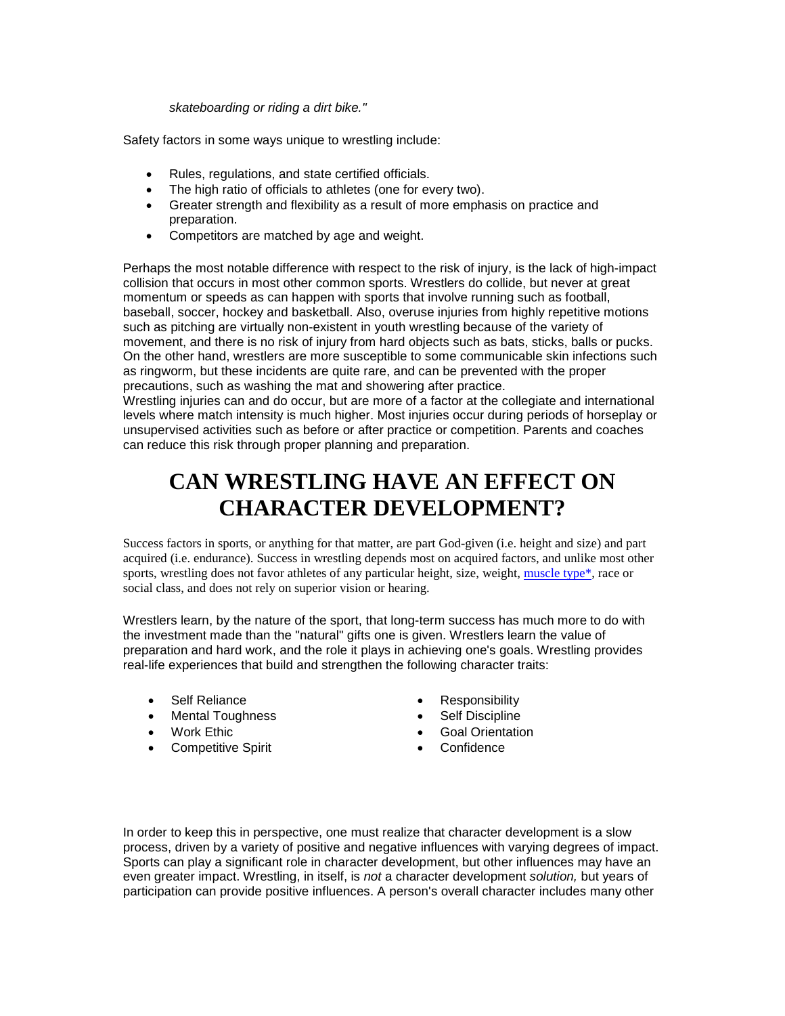*skateboarding or riding a dirt bike."*

Safety factors in some ways unique to wrestling include:

- Rules, regulations, and state certified officials.
- The high ratio of officials to athletes (one for every two).
- Greater strength and flexibility as a result of more emphasiso[n practice and](http://www.cnsf.org/cgi-bin/pages?PAGE=wrestling/#1) preparation.
- Competitors are matched by age and weight.

Perhaps the most notable difference with respect to the risk of injury, is the lack of high-impact collision that occurs in most other common sports. Wrestlers do collide, but never at great momentum or speeds as can happen with sports that involve running such as football, baseball, soccer, hockey and basketball. Also, overuse injuries from highly repetitive motions such as pitching are virtually non-existent in youth wrestling because of the variety of movement, and there is no risk of injury from hard objects such as bats, sticks, balls or pucks. On the other hand, wrestlers are more susceptible to some communicable skin infections such as ringworm, but these incidents are quite rare, and can be prevented with the proper precautions, such as washing the mat and showering after practice.

Wrestling injuries can and do occur, but are more of a factor at the collegiate and international levels where match intensity is much higher. Most injuries occur during periods of horseplay or unsupervised activities such as before or after practice or competition. Parents and coaches can reduce this risk through proper planning and preparation.

# **CAN WRESTLING HAVE AN EFFECT ON CHARACTER DEVELOPMENT?**

Success factors in sports, or anything for that matter, are part God-given (i.e. height and size) and part acquired (i.e. endurance). Success in wrestling depends most on acquired factors, and unlike most other sports, wrestling does not favor athletes of any particular height, size, weight, muscle type\*, race or social class, and does not rely on superior vision or hearing.

Wrestlers learn, by the nature of the sport, that long-term success has much more to do with the investment made than the "natural" gifts one is given. Wrestlers learn the value of preparation and hard work, and the role it plays in achieving one's goals. Wrestling provides real-life experiences that build and strengthen the following character traits:

- Self Reliance
- Mental Toughness
- Work Ethic
- **•** Competitive Spirit
- Responsibility
- Self Discipline
- Goal Orientation
- Confidence

In order to keep this in perspective, one must realize that character development is a slow process, driven by a variety of positive and negative influences with varying degrees of impact. Sports can play a significant role in character development, but other influences may have an even greater impact. Wrestling, in itself, is *not* a character development *solution,* but years of participation can provide positive influences. A person's overall character includes many other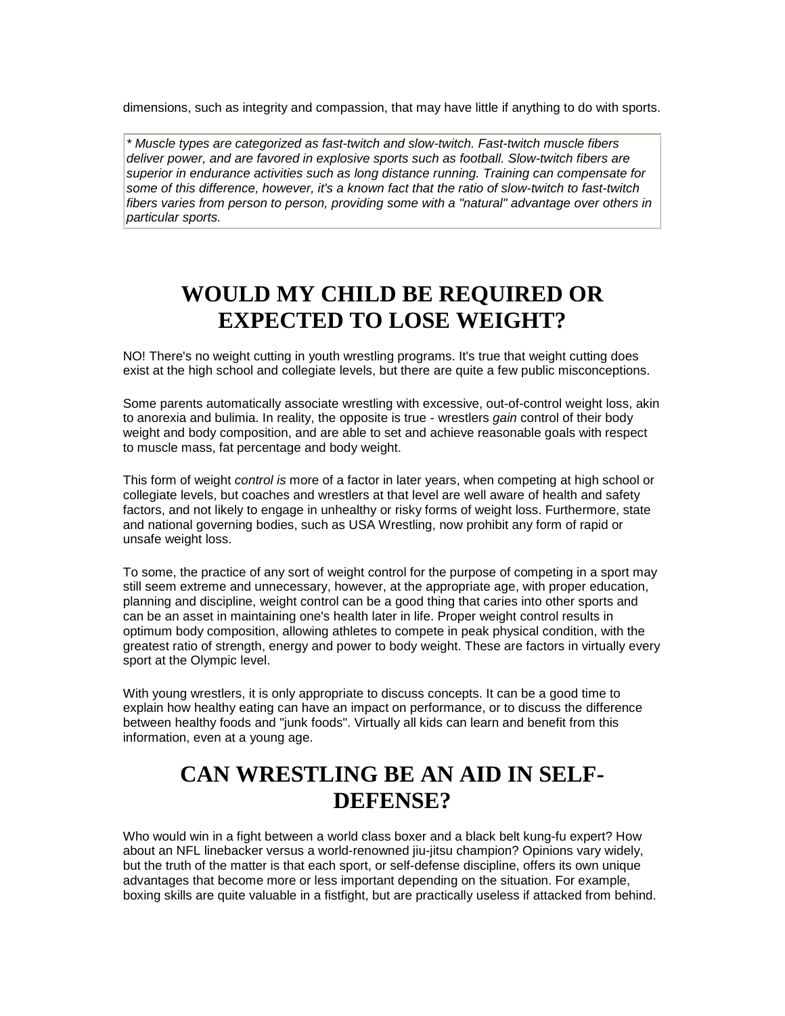dimensions, such as integrity and compassion, that may have little if anything to do with sports.

*\* Muscle types are categorized as fast-twitch and slow-twitch. Fast-twitch muscle fibers deliver power, and are favored in explosive sports such as football. Slow-twitch fibers are superior in endurance activities such as long distance running. Training can compensate for some of this difference, however, it's a known fact that the ratio of slow-twitch to fast-twitch fibers varies from person to person, providing some with a "natural" advantage over others in particular sports.*

# **WOULD MY CHILD BE REQUIRED OR EXPECTED TO LOSE WEIGHT?**

NO! There's no weight cutting in youth wrestling programs. It's true that weight cutting does exist at the high school and collegiate levels, but there are quite a few public misconceptions.

Some parents automatically associate wrestling with excessive, out-of-control weight loss, akin to anorexia and bulimia. In reality, the opposite is true - wrestlers *gain* control of their body weight and body composition, and are able to set and achieve reasonable goals with respect to muscle mass, fat percentage and body weight.

This form of weight *control is* more of a factor in later years, when competing at high school or collegiate levels, but coaches and wrestlers at that level are well aware of health and safety factors, and not likely to engage in unhealthy or risky forms of weight loss. Furthermore, state and national governing bodies, such as USA Wrestling, now prohibit any form of rapid or unsafe weight loss.

To some, the practice of any sort of weight control for the purpose of competing in a sport may still seem extreme and unnecessary, however, at the appropriate age, with proper education, planning and discipline, weight control can be a good thing that caries into other sports and can be an asset in maintaining one's health later in life. Proper weight control results in optimum body composition, allowing athletes to compete in peak physical condition, with the greatest ratio of strength, energy and power to body weight. These are factors in virtually every sport at the Olympic level.

With young wrestlers, it is only appropriate to discuss concepts. It can be a good time to explain how healthy eating can have an impact on performance, or to discuss the difference between healthy foods and "junk foods". Virtually all kids can learn and benefit from this information, even at a young age.

# **CAN WRESTLING BE AN AID IN SELF-DEFENSE?**

Who would win in a fight between a world class boxer and a black belt kung-fu expert? How about an NFL linebacker versus a world-renowned jiu-jitsu champion? Opinions vary widely, but the truth of the matter is that each sport, or self-defense discipline, offers its own unique advantages that become more or less important depending on the situation. For example, boxing skills are quite valuable in a fistfight, but are practically useless if attacked from behind.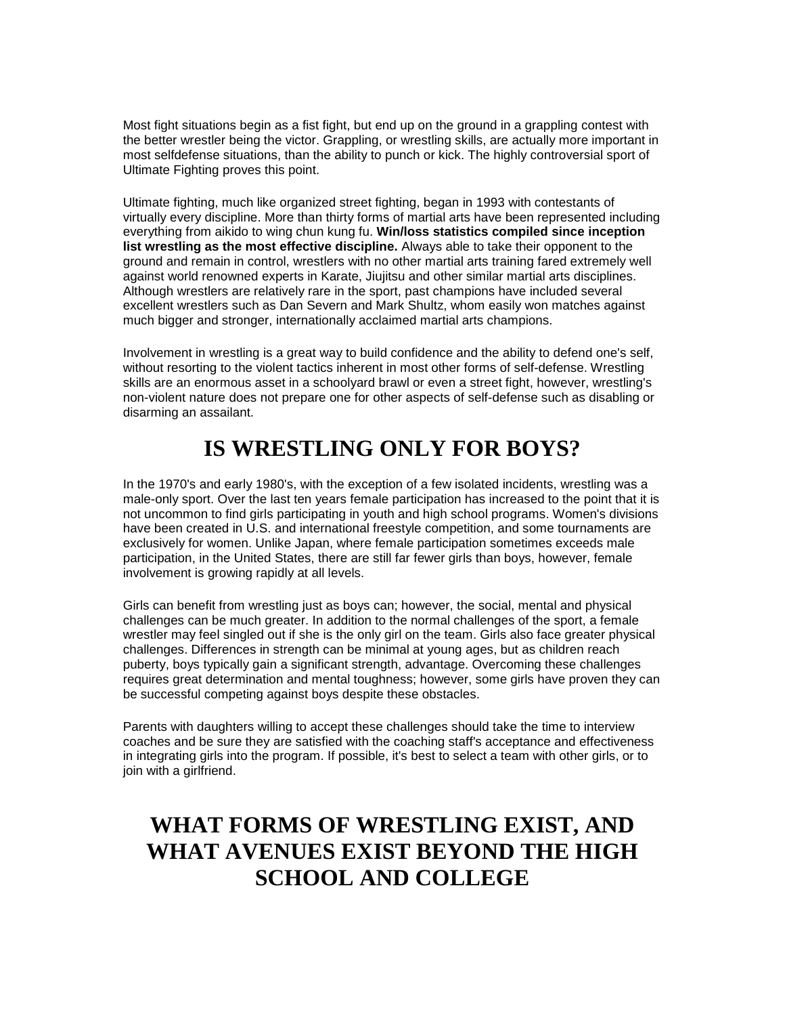Most fight situations begin as a fist fight, but end up on the ground in a grappling contest with the better wrestler being the victor. Grappling, or wrestling skills, are actually more important in most selfdefense situations, than the ability to punch or kick. The highly controversial sport of Ultimate Fighting proves this point.

Ultimate fighting, much like organized street fighting, began in 1993 with contestants of virtually every discipline. More than thirty forms of martial arts have been represented including everything from aikido to wing chun kung fu. **Win/loss statistics compiled since inception list wrestling as the most effective discipline.** Always able to take their opponent to the ground and remain in control, wrestlers with no other martial arts training fared extremely well against world renowned experts in Karate, Jiujitsu and other similar martial arts disciplines. Although wrestlers are relatively rare in the sport, past champions have included several excellent wrestlers such as Dan Severn and Mark Shultz, whom easily won matches against much bigger and stronger, internationally acclaimed martial arts champions.

Involvement in wrestling is a great way to build confidence and the ability to defend one's self, without resorting to the violent tactics inherent in most other forms of self-defense. Wrestling skills are an enormous asset in a schoolyard brawl or even a street fight, however, wrestling's non-violent nature does not prepare one for other aspects of self-defense such as disabling or disarming an assailant.

# **IS WRESTLING ONLY FOR BOYS?**

In the 1970's and early 1980's, with the exception of a few isolated incidents, wrestling was a male-only sport. Over the last ten years female participation has increased to the point that it is not uncommon to find girls participating in youth and high school programs. Women's divisions have been created in U.S. and international freestyle competition, and some tournaments are exclusively for women. Unlike Japan, where female participation sometimes exceeds male participation, in the United States, there are still far fewer girls than boys, however, female involvement is growing rapidly at all levels.

Girls can benefit from wrestling just as boys can; however, the social, mental and physical challenges can be much greater. In addition to the normal challenges of the sport, a female wrestler may feel singled out if she is the only girl on the team. Girls also face greater physical challenges. Differences in strength can be minimal at young ages, but as children reach puberty, boys typically gain a significant strength, advantage. Overcoming these challenges requires great determination and mental toughness; however, some girls have proven they can be successful competing against boys despite these obstacles.

Parents with daughters willing to accept these challenges should take the time to interview coaches and be sure they are satisfied with the coaching staff's acceptance and effectiveness in integrating girls into the program. If possible, it's best to select a team with other girls, or to join with a girlfriend.

# **WHAT FORMS OF WRESTLING EXIST, AND WHAT AVENUES EXIST BEYOND THE HIGH SCHOOL AND COLLEGE**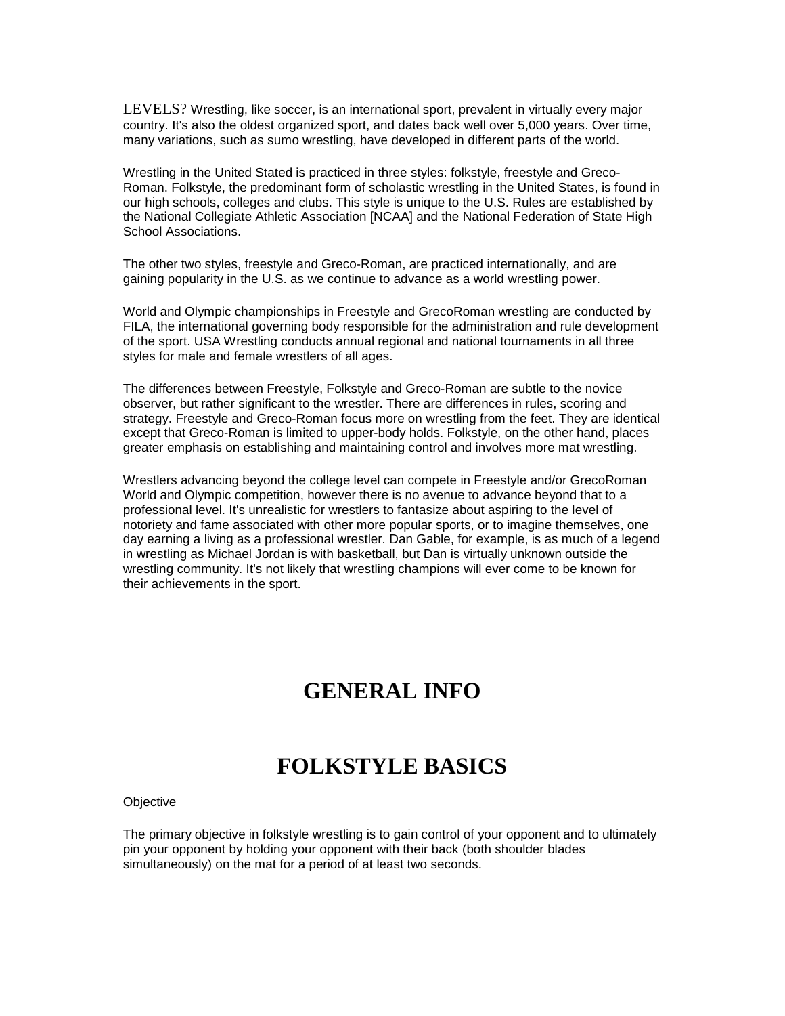LEVELS? Wrestling, like soccer, is an international sport, prevalent in virtually every major country. It's also the oldest organized sport, and dates back well over 5,000 years. Over time, many variations, such as sumo wrestling, have developed in different parts of the world.

Wrestling in the United Stated is practiced in three styles: folkstyle, freestyle and Greco-Roman. Folkstyle, the predominant form of scholastic wrestling in the United States, is found in our high schools, colleges and clubs. This style is unique to the U.S. Rules are established by the National Collegiate Athletic Association [NCAA] and the National Federation of State High School Associations.

The other two styles, freestyle and Greco-Roman, are practiced internationally, and are gaining popularity in the U.S. as we continue to advance as a world wrestling power.

World and Olympic championships in Freestyle and GrecoRoman wrestling are conducted by FILA, the international governing body responsible for the administration and rule development of the sport. USA Wrestling conducts annual regional and national tournaments in all three styles for male and female wrestlers of all ages.

The differences between Freestyle, Folkstyle and Greco-Roman are subtle to the novice observer, but rather significant to the wrestler. There are differences in rules, scoring and strategy. Freestyle and Greco-Roman focus more on wrestling from the feet. They are identical except that Greco-Roman is limited to upper-body holds. Folkstyle, on the other hand, places greater emphasis on establishing and maintaining control and involves more mat wrestling.

Wrestlers advancing beyond the college level can compete in Freestyle and/or GrecoRoman World and Olympic competition, however there is no avenue to advance beyond that to a professional level. It's unrealistic for wrestlers to fantasize about aspiring to the level of notoriety and fame associated with other more popular sports, or to imagine themselves, one day earning a living as a professional wrestler. Dan Gable, for example, is as much of a legend in wrestling as Michael Jordan is with basketball, but Dan is virtually unknown outside the wrestling community. It's not likely that wrestling champions will ever come to be known for their achievements in the sport.

## **GENERAL INFO**

## **FOLKSTYLE BASICS**

**Objective** 

The primary objective in folkstyle wrestling is to gain control of your opponent and to ultimately pin your opponent by holding your opponent with their back (both shoulder blades simultaneously) on the mat for a period of at least two seconds.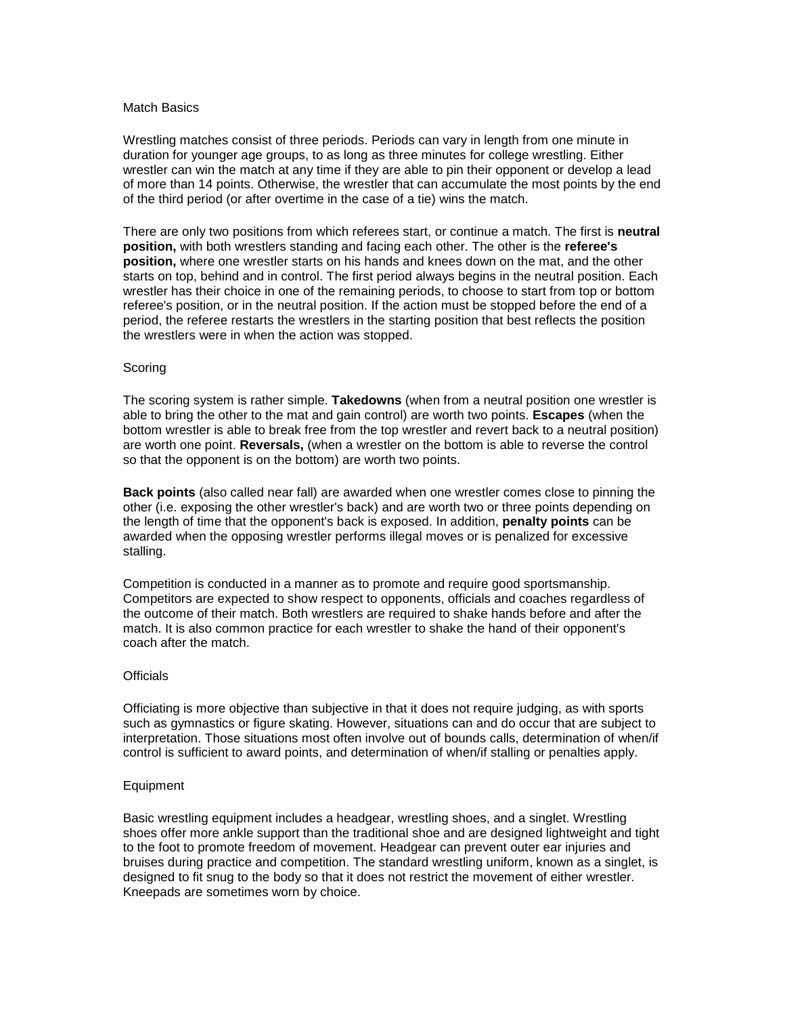#### Match Basics

Wrestling matches consist of three periods. Periods can vary in length from one minute in duration for younger age groups, to as long as three minutes for college wrestling. Either wrestler can win the match at any time if they are able to pin their opponent or develop a lead of more than 14 points. Otherwise, the wrestler that can accumulate the most points by the end of the third period (or after overtime in the case of a tie) wins the match.

There are only two positions from which referees start, or continue a match. The first is **neutral position,** with both wrestlers standing and facing each other. The other is the **referee's position,** where one wrestler starts on his hands and knees down on the mat, and the other starts on top, behind and in control. The first period always begins in the neutral position. Each wrestler has their choice in one of the remaining periods, to choose to start from top or bottom referee's position, or in the neutral position. If the action must be stopped before the end of a period, the referee restarts the wrestlers in the starting position that best reflects the position the wrestlers were in when the action was stopped.

#### Scoring

The scoring system is rather simple. **Takedowns** (when from a neutral position one wrestler is able to bring the other to the mat and gain control) are worth two points. **Escapes** (when the bottom wrestler is able to break free from the top wrestler and revert back to a neutral position) are worth one point. **Reversals,** (when a wrestler on the bottom is able to reverse the control so that the opponent is on the bottom) are worth two points.

**Back points** (also called near fall) are awarded when one wrestler comes close to pinning the other (i.e. exposing the other wrestler's back) and are worth two or three points depending on the length of time that the opponent's back is exposed. In addition, **penalty points** can be awarded when the opposing wrestler performs illegal moves or is penalized for excessive stalling.

Competition is conducted in a manner as to promote and require good sportsmanship. Competitors are expected to show respect to opponents, officials and coaches regardless of the outcome of their match. Both wrestlers are required to shake hands before and after the match. It is also common practice for each wrestler to shake the hand of their opponent's coach after the match.

#### **Officials**

Officiating is more objective than subjective in that it does not require judging, as with sports such as gymnastics or figure skating. However, situations can and do occur that are subject to interpretation. Those situations most often involve out of bounds calls, determination of when/if control is sufficient to award points, and determination of when/if stalling or penalties apply.

#### Equipment

Basic wrestling equipment includes a headgear, wrestling shoes, and a singlet. Wrestling shoes offer more ankle support than the traditional shoe and are designed lightweight and tight to the foot to promote freedom of movement. Headgear can prevent outer ear injuries and bruises during practice and competition. The standard wrestling uniform, known as a singlet, is designed to fit snug to the body so that it does not restrict the movement of either wrestler. Kneepads are sometimes worn by choice.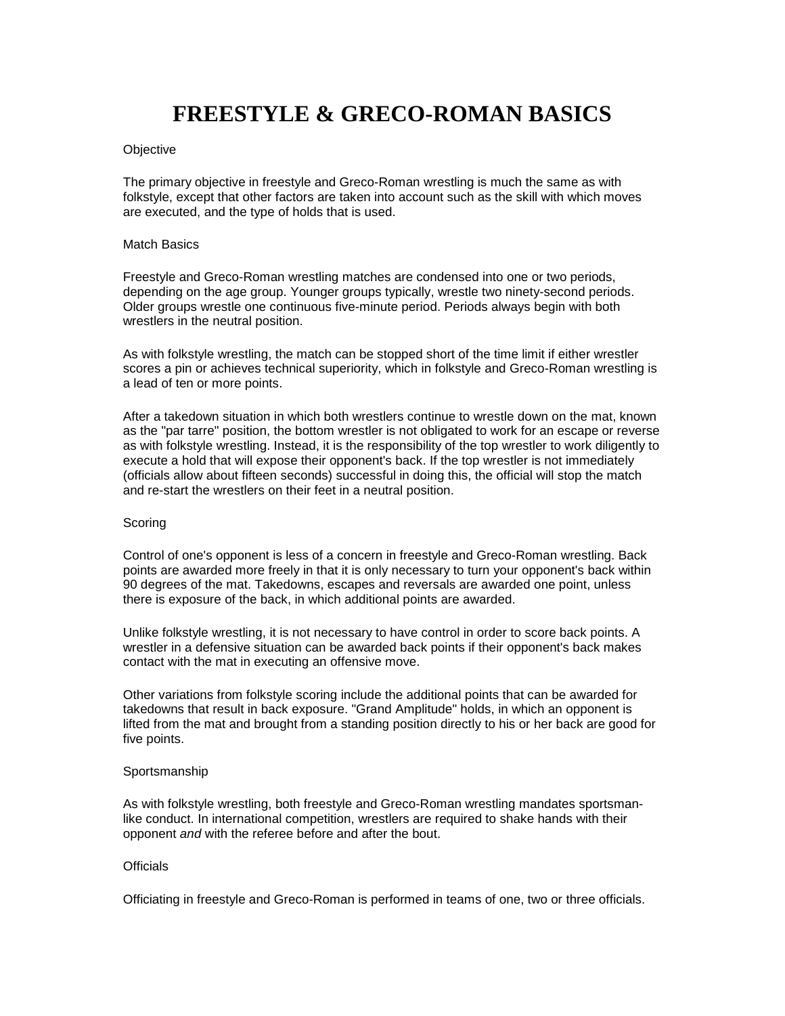# **FREESTYLE & GRECO-ROMAN BASICS**

#### **Objective**

The primary objective in freestyle and Greco-Roman wrestling is much the same as with folkstyle, except that other factors are taken into account such as the skill with which moves are executed, and the type of holds that is used.

#### Match Basics

Freestyle and Greco-Roman wrestling matches are condensed into one or two periods, depending on the age group. Younger groups typically, wrestle two ninety-second periods. Older groups wrestle one continuous five-minute period. Periods always begin with both wrestlers in the neutral position.

As with folkstyle wrestling, the match can be stopped short of the time limit if either wrestler scores a pin or achieves technical superiority, which in folkstyle and Greco-Roman wrestling is a lead of ten or more points.

After a takedown situation in which both wrestlers continue to wrestle down on the mat, known as the "par tarre" position, the bottom wrestler is not obligated to work for an escape or reverse as with folkstyle wrestling. Instead, it is the responsibility of the top wrestler to work diligently to execute a hold that will expose their opponent's back. If the top wrestler is not immediately (officials allow about fifteen seconds) successful in doing this, the official will stop the match and re-start the wrestlers on their feet in a neutral position.

#### **Scoring**

Control of one's opponent is less of a concern in freestyle and Greco-Roman wrestling. Back points are awarded more freely in that it is only necessary to turn your opponent's back within 90 degrees of the mat. Takedowns, escapes and reversals are awarded one point, unless there is exposure of the back, in which additional points are awarded.

Unlike folkstyle wrestling, it is not necessary to have control in order to score back points. A wrestler in a defensive situation can be awarded back points if their opponent's back makes contact with the mat in executing an offensive move.

Other variations from folkstyle scoring include the additional points that can be awarded for takedowns that result in back exposure. "Grand Amplitude" holds, in which an opponent is lifted from the mat and brought from a standing position directly to his or her back are good for five points.

#### Sportsmanship

As with folkstyle wrestling, both freestyle and Greco-Roman wrestling mandates sportsmanlike conduct. In international competition, wrestlers are required to shake hands with their opponent *and* with the referee before and after the bout.

#### **Officials**

Officiating in freestyle and Greco-Roman is performed in teams of one, two or three officials.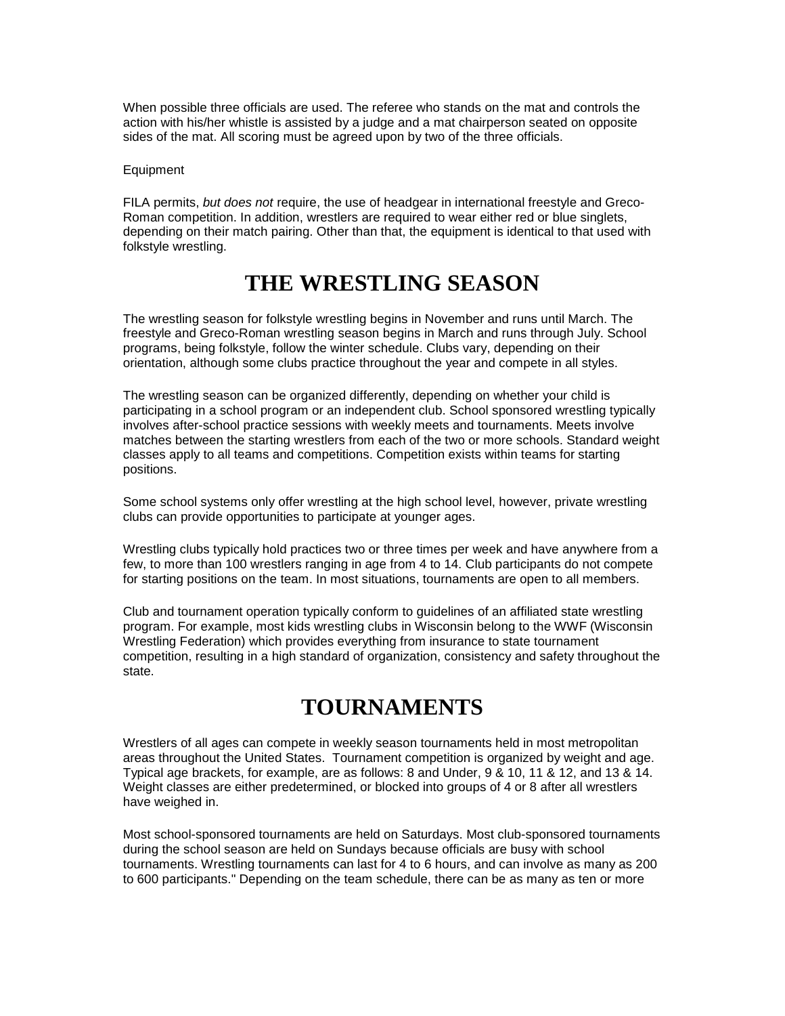When possible three officials are used. The referee who stands on the mat and controls the action with his/her whistle is assisted by a judge and a mat chairperson seated on opposite sides of the mat. All scoring must be agreed upon by two of the three officials.

#### Equipment

FILA permits, *but does not* require, the use of headgear in international freestyle and Greco-Roman competition. In addition, wrestlers are required to wear either red or blue singlets, depending on their match pairing. Other than that, the equipment is identical to that used with folkstyle wrestling.

### **THE WRESTLING SEASON**

The wrestling season for folkstyle wrestling begins in November and runs until March. The freestyle and Greco-Roman wrestling season begins in March and runs through July. School programs, being folkstyle, follow the winter schedule. Clubs vary, depending on their orientation, although some clubs practice throughout the year and compete in all styles.

The wrestling season can be organized differently, depending on whether your child is participating in a school program or an independent club. School sponsored wrestling typically involves after-school practice sessions with weekly meets and tournaments. Meets involve matches between the starting wrestlers from each of the two or more schools. Standard weight classes apply to all teams and competitions. Competition exists within teams for starting positions.

Some school systems only offer wrestling at the high school level, however, private wrestling clubs can provide opportunities to participate at younger ages.

Wrestling clubs typically hold practices two or three times per week and have anywhere from a few, to more than 100 wrestlers ranging in age from 4 to 14. Club participants do not compete for starting positions on the team. In most situations, tournaments are open to all members.

Club and tournament operation typically conform to guidelines of an affiliated state wrestling program. For example, most kids wrestling clubs in Wisconsin belong to the WWF (Wisconsin Wrestling Federation) which provides everything from insurance to state tournament competition, resulting in a high standard of organization, consistency and safety throughout the state.

### **TOURNAMENTS**

Wrestlers of all ages can compete in weekly season tournaments held in most metropolitan areas throughout the United States. Tournament competition is organized by weight and age. Typical age brackets, for example, are as follows: 8 and Under, 9 & 10, 11 & 12, and 13 & 14. Weight classes are either predetermined, or blocked into groups of 4 or 8 after all wrestlers have weighed in.

Most school-sponsored tournaments are held on Saturdays. Most club-sponsored tournaments during the school season are held on Sundays because officials are busy with school tournaments. Wrestling tournaments can last for 4 to 6 hours, and can involve as many as 200 to 600 participants." Depending on the team schedule, there can be as many as ten or more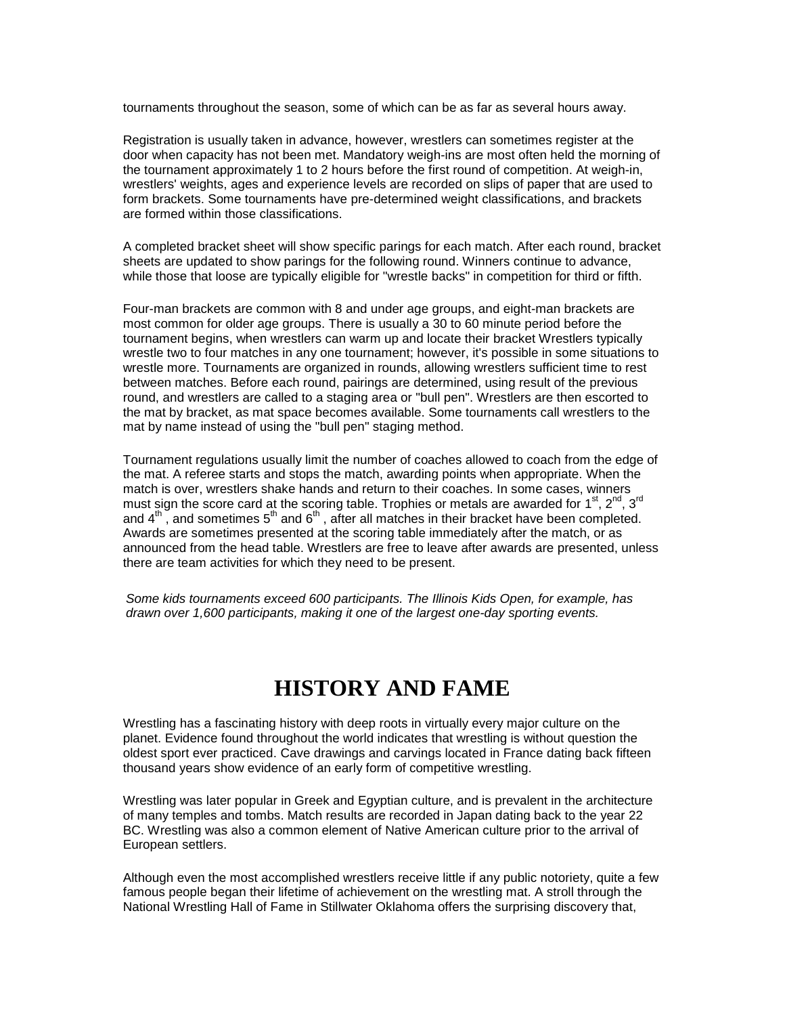tournaments throughout the season, some of which can be as far as several hours away.

Registration is usually taken in advance, however, wrestlers can sometimes register at the door when capacity has not been met. Mandatory weigh-ins are most often held the morning of the tournament approximately 1 to 2 hours before the first round of competition. At weigh-in, wrestlers' weights, ages and experience levels are recorded on slips of paper that are used to form brackets. Some tournaments have pre-determined weight classifications, and brackets are formed within those classifications.

A completed bracket sheet will show specific parings for each match. After each round, bracket sheets are updated to show parings for the following round. Winners continue to advance, while those that loose are typically eligible for "wrestle backs" in competition for third or fifth.

Four-man brackets are common with 8 and under age groups, and eight-man brackets are most common for older age groups. There is usually a 30 to 60 minute period before the tournament begins, when wrestlers can warm up and locate their bracket Wrestlers typically wrestle two to four matches in any one tournament; however, it's possible in some situations to wrestle more. Tournaments are organized in rounds, allowing wrestlers sufficient time to rest between matches. Before each round, pairings are determined, using result of the previous round, and wrestlers are called to a staging area or "bull pen". Wrestlers are then escorted to the mat by bracket, as mat space becomes available. Some tournaments call wrestlers to the mat by name instead of using the "bull pen" staging method.

Tournament regulations usually limit the number of coaches allowed to coach from the edge of the mat. A referee starts and stops the match, awarding points when appropriate. When the match is over, wrestlers shake hands and return to their coaches. In some cases, winners must sign the score card at the scoring table. Trophies or metals are awarded for  $1<sup>st</sup>$ ,  $2<sup>nd</sup>$ ,  $3<sup>rd</sup>$ and  $4^{\text{th}}$ , and sometimes  $5^{\text{th}}$  and  $6^{\text{th}}$ , after all matches in their bracket have been completed. Awards are sometimes presented at the scoring table immediately after the match, or as announced from the head table. Wrestlers are free to leave after awards are presented, unless there are team activities for which they need to be present.

*Some kids tournaments exceed 600 participants. The Illinois Kids Open, for example, has drawn over 1,600 participants, making it one of the largest one-day sporting events.*

## **HISTORY AND FAME**

Wrestling has a fascinating history with deep roots in virtually every major culture on the planet. Evidence found throughout the world indicates that wrestling is without question the oldest sport ever practiced. Cave drawings and carvings located in France dating back fifteen thousand years show evidence of an early form of competitive wrestling.

Wrestling was later popular in Greek and Egyptian culture, and is prevalent in the architecture of many temples and tombs. Match results are recorded in Japan dating back to the year 22 BC. Wrestling was also a common element of Native American culture prior to the arrival of European settlers.

Although even the most accomplished wrestlers receive little if any public notoriety, quite a few famous people began their lifetime of achievement on the wrestling mat. A stroll through the National Wrestling Hall of Fame in Stillwater Oklahoma offers the surprising discovery that,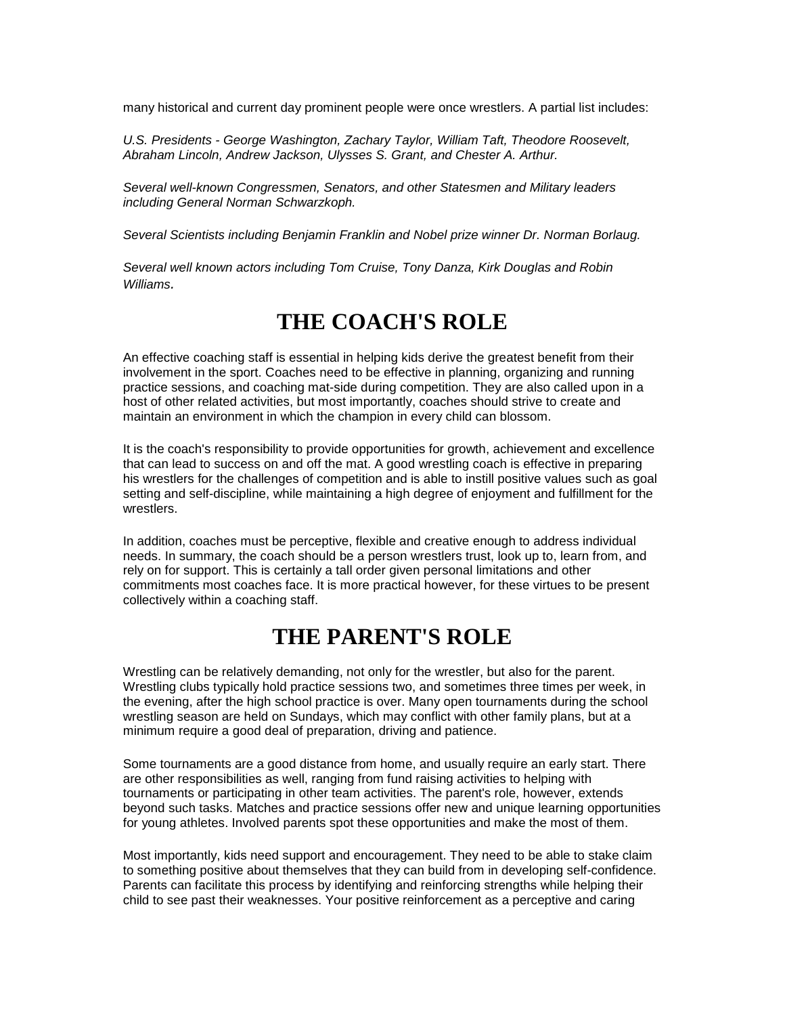many historical and current day prominent people were once wrestlers. A partial list includes:

*U.S. Presidents - George Washington, Zachary Taylor, William Taft, Theodore Roosevelt, Abraham Lincoln, Andrew Jackson, Ulysses S. Grant, and Chester A. Arthur.*

*Several well-known Congressmen, Senators, and other Statesmen and Military leaders including General Norman Schwarzkoph.*

*Several Scientists including Benjamin Franklin and Nobel prize winner Dr. Norman Borlaug.*

*Several well known actors including Tom Cruise, Tony Danza, Kirk Douglas and Robin Williams.*

### **THE COACH'S ROLE**

An effective coaching staff is essential in helping kids derive the greatest benefit from their involvement in the sport. Coaches need to be effective in planning, organizing and running practice sessions, and coaching mat-side during competition. They are also called upon in a host of other related activities, but most importantly, coaches should strive to create and maintain an environment in which the champion in every child can blossom.

It is the coach's responsibility to provide opportunities for growth, achievement and excellence that can lead to success on and off the mat. A good wrestling coach is effective in preparing his wrestlers for the challenges of competition and is able to instill positive values such as goal setting and self-discipline, while maintaining a high degree of enjoyment and fulfillment for the wrestlers.

In addition, coaches must be perceptive, flexible and creative enough to address individual needs. In summary, the coach should be a person wrestlers trust, look up to, learn from, and rely on for support. This is certainly a tall order given personal limitations and other commitments most coaches face. It is more practical however, for these virtues to be present collectively within a coaching staff.

### **THE PARENT'S ROLE**

Wrestling can be relatively demanding, not only for the wrestler, but also for the parent. Wrestling clubs typically hold practice sessions two, and sometimes three times per week, in the evening, after the high school practice is over. Many open tournaments during the school wrestling season are held on Sundays, which may conflict with other family plans, but at a minimum require a good deal of preparation, driving and patience.

Some tournaments are a good distance from home, and usually require an early start. There are other responsibilities as well, ranging from fund raising activities to helping with tournaments or participating in other team activities. The parent's role, however, extends beyond such tasks. Matches and practice sessions offer new and unique learning opportunities for young athletes. Involved parents spot these opportunities and make the most of them.

Most importantly, kids need support and encouragement. They need to be able to stake claim to something positive about themselves that they can build from in developing self-confidence. Parents can facilitate this process by identifying and reinforcing strengths while helping their child to see past their weaknesses. Your positive reinforcement as a perceptive and caring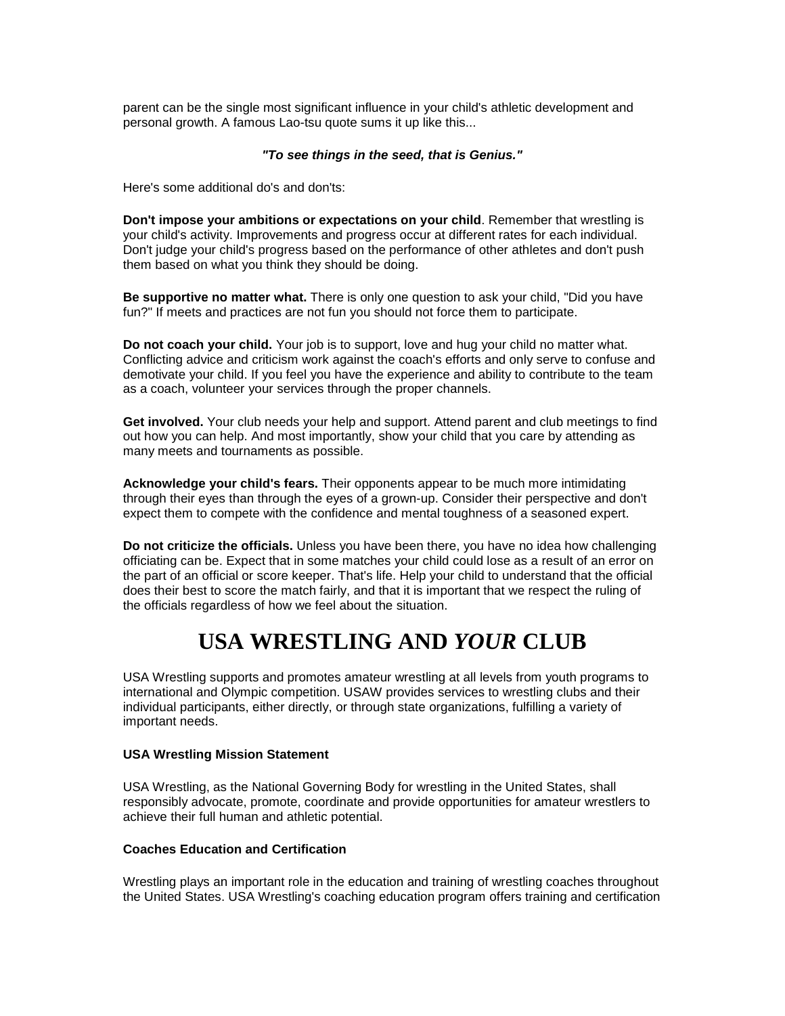parent can be the single most significant influence in your child's athletic development and personal growth. A famous Lao-tsu quote sums it up like this...

#### *"To see things in the seed, that is Genius."*

Here's some additional do's and don'ts:

**Don't impose your ambitions or expectations on your child**. Remember that wrestling is your child's activity. Improvements and progress occur at different rates for each individual. Don't judge your child's progress based on the performance of other athletes and don't push them based on what you think they should be doing.

**Be supportive no matter what.** There is only one question to ask your child, "Did you have fun?" If meets and practices are not fun you should not force them to participate.

**Do not coach your child.** Your job is to support, love and hug your child no matter what. Conflicting advice and criticism work against the coach's efforts and only serve to confuse and demotivate your child. If you feel you have the experience and ability to contribute to the team as a coach, volunteer your services through the proper channels.

**Get involved.** Your club needs your help and support. Attend parent and club meetings to find out how you can help. And most importantly, show your child that you care by attending as many meets and tournaments as possible.

**Acknowledge your child's fears.** Their opponents appear to be much more intimidating through their eyes than through the eyes of a grown-up. Consider their perspective and don't expect them to compete with the confidence and mental toughness of a seasoned expert.

**Do not criticize the officials.** Unless you have been there, you have no idea how challenging officiating can be. Expect that in some matches your child could lose as a result of an error on the part of an official or score keeper. That's life. Help your child to understand that the official does their best to score the match fairly, and that it is important that we respect the ruling of the officials regardless of how we feel about the situation.

## **USA WRESTLING AND** *YOUR* **CLUB**

USA Wrestling supports and promotes amateur wrestling at all levels from youth programs to international and Olympic competition. USAW provides services to wrestling clubs and their individual participants, either directly, or through state organizations, fulfilling a variety of important needs.

#### **USA Wrestling Mission Statement**

USA Wrestling, as the National Governing Body for wrestling in the United States, shall responsibly advocate, promote, coordinate and provide opportunities for amateur wrestlers to achieve their full human and athletic potential.

#### **Coaches Education and Certification**

Wrestling plays an important role in the education and training of wrestling coaches throughout the United States. USA Wrestling's coaching education program offers training and certification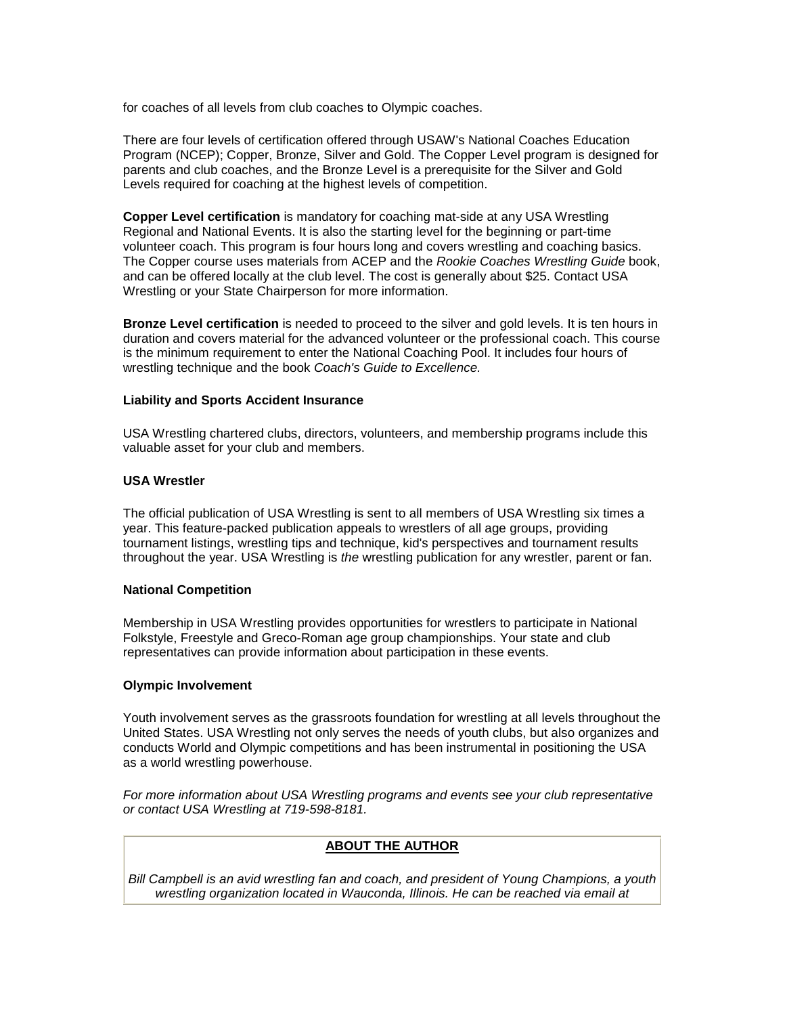for coaches of all levels from club coaches to Olympic coaches.

There are four levels of certification offered through USAW's National Coaches Education Program (NCEP); Copper, Bronze, Silver and Gold. The Copper Level program is designed for parents and club coaches, and the Bronze Level is a prerequisite for the Silver and Gold Levels required for coaching at the highest levels of competition.

**Copper Level certification** is mandatory for coaching mat-side at any USA Wrestling Regional and National Events. It is also the starting level for the beginning or part-time volunteer coach. This program is four hours long and covers wrestling and coaching basics. The Copper course uses materials from ACEP and the *Rookie Coaches Wrestling Guide* book, and can be offered locally at the club level. The cost is generally about \$25. Contact USA Wrestling or your State Chairperson for more information.

**Bronze Level certification** is needed to proceed to the silver and gold levels. It is ten hours in duration and covers material for the advanced volunteer or the professional coach. This course is the minimum requirement to enter the National Coaching Pool. It includes four hours of wrestling technique and the book *Coach's Guide to Excellence.*

#### **Liability and Sports Accident Insurance**

USA Wrestling chartered clubs, directors, volunteers, and membership programs include this valuable asset for your club and members.

#### **USA Wrestler**

The official publication of USA Wrestling is sent to all members of USA Wrestling six times a year. This feature-packed publication appeals to wrestlers of all age groups, providing tournament listings, wrestling tips and technique, kid's perspectives and tournament results throughout the year. USA Wrestling is *the* wrestling publication for any wrestler, parent or fan.

#### **National Competition**

Membership in USA Wrestling provides opportunities for wrestlers to participate in National Folkstyle, Freestyle and Greco-Roman age group championships. Your state and club representatives can provide information about participation in these events.

#### **Olympic Involvement**

Youth involvement serves as the grassroots foundation for wrestling at all levels throughout the United States. USA Wrestling not only serves the needs of youth clubs, but also organizes and conducts World and Olympic competitions and has been instrumental in positioning the USA as a world wrestling powerhouse.

*For more information about USA Wrestling programs and events see your club representative or contact USA Wrestling at 719-598-8181.*

#### **ABOUT THE AUTHOR**

*Bill Campbell is an avid wrestling fan and coach, and president of Young Champions, a youth wrestling organization located in Wauconda, Illinois. He can be reached via email at*